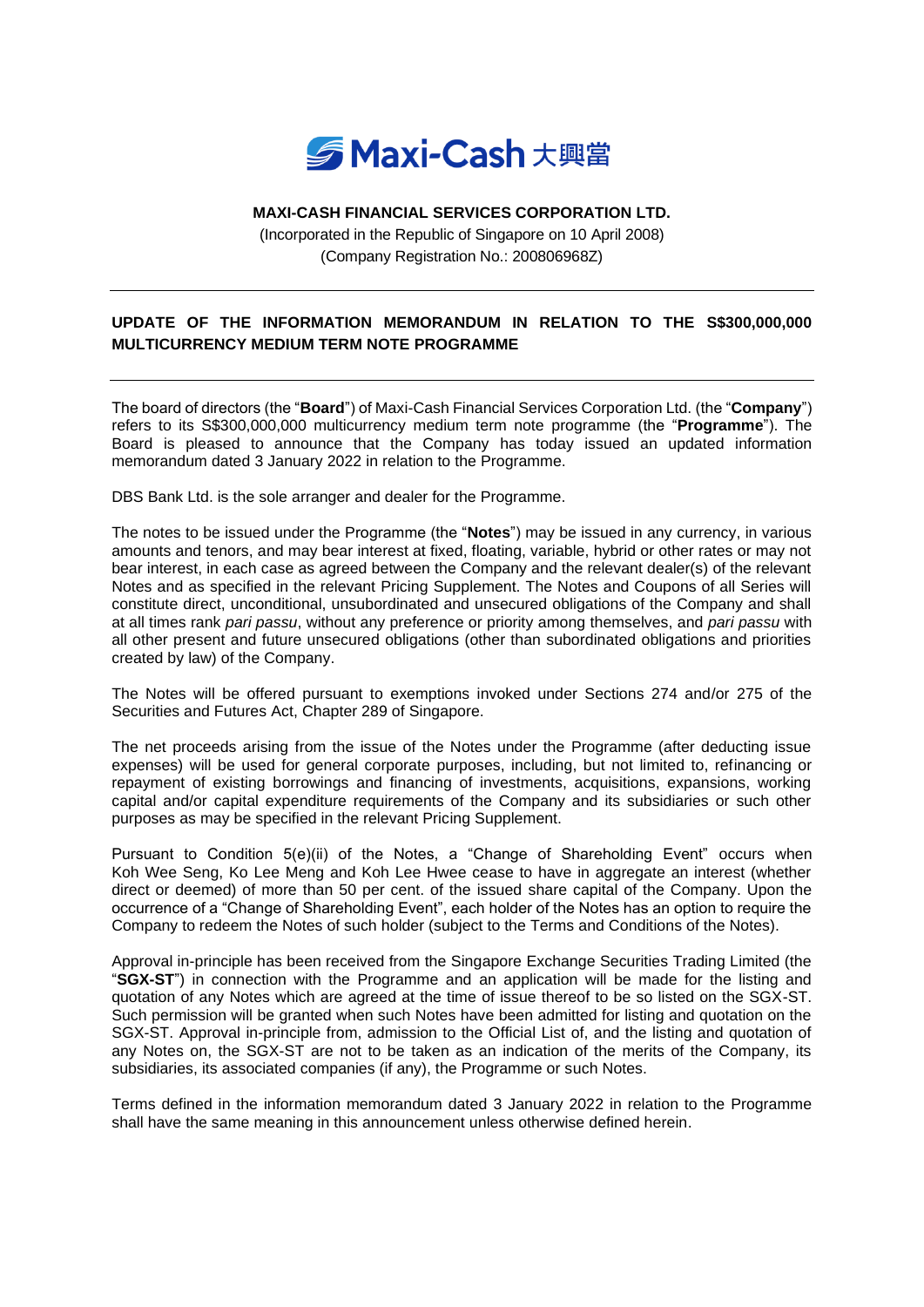

## **MAXI-CASH FINANCIAL SERVICES CORPORATION LTD.**

(Incorporated in the Republic of Singapore on 10 April 2008) (Company Registration No.: 200806968Z)

## **UPDATE OF THE INFORMATION MEMORANDUM IN RELATION TO THE S\$300,000,000 MULTICURRENCY MEDIUM TERM NOTE PROGRAMME**

The board of directors (the "**Board**") of Maxi-Cash Financial Services Corporation Ltd. (the "**Company**") refers to its S\$300,000,000 multicurrency medium term note programme (the "**Programme**"). The Board is pleased to announce that the Company has today issued an updated information memorandum dated 3 January 2022 in relation to the Programme.

DBS Bank Ltd. is the sole arranger and dealer for the Programme.

The notes to be issued under the Programme (the "**Notes**") may be issued in any currency, in various amounts and tenors, and may bear interest at fixed, floating, variable, hybrid or other rates or may not bear interest, in each case as agreed between the Company and the relevant dealer(s) of the relevant Notes and as specified in the relevant Pricing Supplement. The Notes and Coupons of all Series will constitute direct, unconditional, unsubordinated and unsecured obligations of the Company and shall at all times rank *pari passu*, without any preference or priority among themselves, and *pari passu* with all other present and future unsecured obligations (other than subordinated obligations and priorities created by law) of the Company.

The Notes will be offered pursuant to exemptions invoked under Sections 274 and/or 275 of the Securities and Futures Act, Chapter 289 of Singapore.

The net proceeds arising from the issue of the Notes under the Programme (after deducting issue expenses) will be used for general corporate purposes, including, but not limited to, refinancing or repayment of existing borrowings and financing of investments, acquisitions, expansions, working capital and/or capital expenditure requirements of the Company and its subsidiaries or such other purposes as may be specified in the relevant Pricing Supplement.

Pursuant to Condition 5(e)(ii) of the Notes, a "Change of Shareholding Event" occurs when Koh Wee Seng, Ko Lee Meng and Koh Lee Hwee cease to have in aggregate an interest (whether direct or deemed) of more than 50 per cent. of the issued share capital of the Company. Upon the occurrence of a "Change of Shareholding Event", each holder of the Notes has an option to require the Company to redeem the Notes of such holder (subject to the Terms and Conditions of the Notes).

Approval in-principle has been received from the Singapore Exchange Securities Trading Limited (the "**SGX-ST**") in connection with the Programme and an application will be made for the listing and quotation of any Notes which are agreed at the time of issue thereof to be so listed on the SGX-ST. Such permission will be granted when such Notes have been admitted for listing and quotation on the SGX-ST. Approval in-principle from, admission to the Official List of, and the listing and quotation of any Notes on, the SGX-ST are not to be taken as an indication of the merits of the Company, its subsidiaries, its associated companies (if any), the Programme or such Notes.

Terms defined in the information memorandum dated 3 January 2022 in relation to the Programme shall have the same meaning in this announcement unless otherwise defined herein.